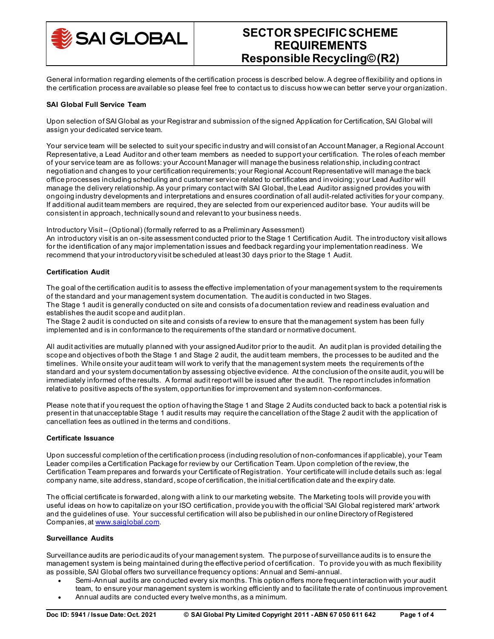

General information regarding elements of the certification process is described below. A degree of flexibility and options in the certification process are available so please feel free to contact us to discuss how we can better serve your organization.

## **SAI Global Full Service Team**

Upon selection of SAI Global as your Registrar and submission of the signed Application for Certification, SAI Global will assign your dedicated service team.

Your service team will be selected to suit your specific industry and will consist of an Account Manager, a Regional Account Representative, a Lead Auditor and other team members as needed to support your certification. The roles of each member of your service team are as follows: your Account Manager will manage the business relationship, including contract negotiation and changes to your certification requirements; your Regional Account Representative will manage the back office processes including scheduling and customer service related to certificates and invoicing; your Lead Auditor will manage the delivery relationship. As your primary contact with SAI Global, the Lead Auditor assigned provides you with ongoing industry developments and interpretations and ensures coordination of all audit-related activities for your company. If additional audit team members are required, they are selected from our experienced auditor base. Your audits will be consistent in approach, technically sound and relevant to your business needs.

Introductory Visit – (Optional) (formally referred to as a Preliminary Assessment)

An introductory visit is an on-site assessment conducted prior to the Stage 1 Certification Audit. The introductory visit allows for the identification of any major implementation issues and feedback regarding your implementation readiness. We recommend that your introductory visit be scheduled at least 30 days prior to the Stage 1 Audit.

## **Certification Audit**

The goal of the certification audit is to assess the effective implementation of your management system to the requirements of the standard and your management system documentation. The audit is conducted in two Stages. The Stage 1 audit is generally conducted on site and consists of a documentation review and readiness evaluation and establishes the audit scope and audit plan.

The Stage 2 audit is conducted on site and consists of a review to ensure that the management system has been fully implemented and is in conformance to the requirements of the standard or normative document.

All audit activities are mutually planned with your assigned Auditor prior to the audit. An audit plan is provided detailing the scope and objectives of both the Stage 1 and Stage 2 audit, the audit team members, the processes to be audited and the timelines. While onsite your audit team will work to verify that the management system meets the requirements of the standard and your system documentation by assessing objective evidence. At the conclusion of the onsite audit, you will be immediately informed of the results. A formal audit report will be issued after the audit. The report includes information relative to positive aspects of the system, opportunities for improvement and system non-conformances.

Please note that if you request the option of having the Stage 1 and Stage 2 Audits conducted back to back a potential risk is present in that unacceptable Stage 1 audit results may require the cancellation of the Stage 2 audit with the application of cancellation fees as outlined in the terms and conditions.

## **Certificate Issuance**

Upon successful completion of the certification process (including resolution of non-conformances if applicable), your Team Leader compiles a Certification Package for review by our Certification Team. Upon completion of the review, the Certification Team prepares and forwards your Certificate of Registration. Your certificate will include details such as: legal company name, site address, standard, scope of certification, the initial certification date and the expiry date.

The official certificate is forwarded, along with a link to our marketing website. The Marketing tools will provide you with useful ideas on how to capitalize on your ISO certification, provide you with the official 'SAI Global registered mark' artwork and the guidelines of use. Your successful certification will also be published in our online Directory of Registered Companies, a[t www.saiglobal.com](http://www.saiglobal.com/).

## **Surveillance Audits**

Surveillance audits are periodic audits of your management system. The purpose of surveillance audits is to ensure the management system is being maintained during the effective period of certification. To provide you with as much flexibility as possible, SAI Global offers two surveillance frequency options: Annual and Semi-annual.

- Semi-Annual audits are conducted every six months. This option offers more frequent interaction with your audit team, to ensure your management system is working efficiently and to facilitate the rate of continuous improvement.
- Annual audits are conducted every twelve months, as a minimum.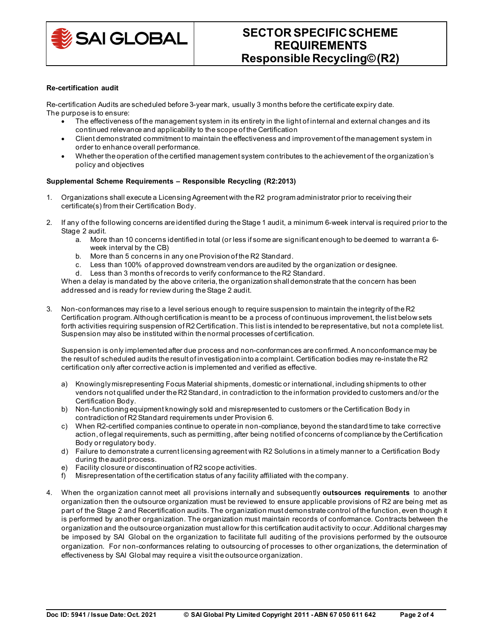

### **Re-certification audit**

Re-certification Audits are scheduled before 3-year mark, usually 3 months before the certificate expiry date. The purpose is to ensure:

- The effectiveness of the management system in its entirety in the light of internal and external changes and its continued relevance and applicability to the scope of the Certification
- Client demonstrated commitment to maintain the effectiveness and improvement of the management system in order to enhance overall performance.
- Whether the operation of the certified management system contributes to the achievement of the organization's policy and objectives

# **Supplemental Scheme Requirements – Responsible Recycling (R2:2013)**

- 1. Organizations shall execute a Licensing Agreement with the R2 program administrator prior to receiving their certificate(s) from their Certification Body.
- 2. If any of the following concerns are identified during the Stage 1 audit, a minimum 6-week interval is required prior to the Stage 2 audit.
	- a. More than 10 concerns identified in total (or less if some are significant enough to be deemed to warrant a 6 week interval by the CB)
	- b. More than 5 concerns in any one Provision of the R2 Standard.
	- c. Less than 100% of approved downstream vendors are audited by the organization or designee.
	- d. Less than 3 months of records to verify conformance to the R2 Standard.

When a delay is mandated by the above criteria, the organization shall demonstrate that the concern has been addressed and is ready for review during the Stage 2 audit.

3. Non-conformances may rise to a level serious enough to require suspension to maintain the integrity of the R2 Certification program. Although certification is meant to be a process of continuous improvement, the list below sets forth activities requiring suspension of R2 Certification. This list is intended to be representative, but not a complete list. Suspension may also be instituted within the normal processes of certification.

Suspension is only implemented after due process and non-conformances are confirmed. A nonconformance may be the result of scheduled audits the result of investigation into a complaint. Certification bodies may re-instate the R2 certification only after corrective action is implemented and verified as effective.

- a) Knowingly misrepresenting Focus Material shipments, domestic or international, including shipments to other vendors not qualified under the R2 Standard, in contradiction to the information provided to customers and/or the Certification Body.
- b) Non-functioning equipment knowingly sold and misrepresented to customers or the Certification Body in contradiction of R2 Standard requirements under Provision 6.
- c) When R2-certified companies continue to operate in non-compliance, beyond the standard time to take corrective action, of legal requirements, such as permitting, after being notified of concerns of compliance by the Certification Body or regulatory body.
- d) Failure to demonstrate a current licensing agreement with R2 Solutions in a timely manner to a Certification Body during the audit process.
- e) Facility closure or discontinuation of R2 scope activities.
- f) Misrepresentation of the certification status of any facility affiliated with the company.
- 4. When the organization cannot meet all provisions internally and subsequently **outsources requirements** to another organization then the outsource organization must be reviewed to ensure applicable provisions of R2 are being met as part of the Stage 2 and Recertification audits. The organization must demonstrate control of the function, even though it is performed by another organization. The organization must maintain records of conformance. Contracts between the organization and the outsource organization must allow for this certification audit activity to occur. Additional charges may be imposed by SAI Global on the organization to facilitate full auditing of the provisions performed by the outsource organization. For non-conformances relating to outsourcing of processes to other organizations, the determination of effectiveness by SAI Global may require a visit the outsource organization.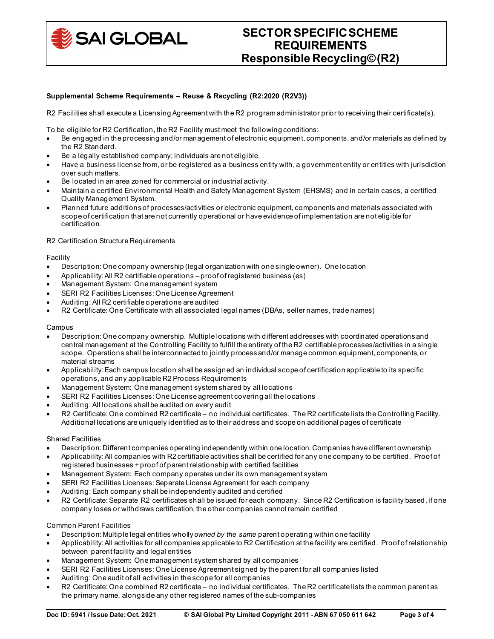

# **Supplemental Scheme Requirements – Reuse & Recycling (R2:2020 (R2V3))**

R2 Facilities shall execute a Licensing Agreement with the R2 program administrator prior to receiving their certificate(s).

To be eligible for R2 Certification, the R2 Facility must meet the following conditions:

- Be engaged in the processing and/or management of electronic equipment, components, and/or materials as defined by the R2 Standard.
- Be a legally established company; individuals are not eligible.
- Have a business license from, or be registered as a business entity with, a government entity or entities with jurisdiction over such matters.
- Be located in an area zoned for commercial or industrial activity.
- Maintain a certified Environmental Health and Safety Management System (EHSMS) and in certain cases, a certified Quality Management System.
- Planned future additions of processes/activities or electronic equipment, components and materials associated with scope of certification that are not currently operational or have evidence of implementation are not eligible for certification.

### R2 Certification Structure Requirements

### Facility

- Description: One company ownership (legal organization with one single owner). One location
- Applicability: All R2 certifiable operations proof of registered business (es)
- Management System: One management system
- SERI R2 Facilities Licenses: One License Agreement
- Auditing: All R2 certifiable operations are audited
- R2 Certificate: One Certificate with all associated legal names (DBAs, seller names, trade names)

#### Campus

- Description: One company ownership. Multiple locations with different addresses with coordinated operations and central management at the Controlling Facility to fulfill the entirety of the R2 certifiable processes/activities in a single scope. Operations shall be interconnected to jointly process and/or manage common equipment, components, or material streams
- Applicability: Each campus location shall be assigned an individual scope of certification applicable to its specific operations, and any applicable R2 Process Requirements
- Management System: One management system shared by all locations
- SERI R2 Facilities Licenses: One License agreement covering all the locations
- Auditing: All locations shall be audited on every audit
- R2 Certificate: One combined R2 certificate no individual certificates. The R2 certificate lists the Controlling Facility. Additional locations are uniquely identified as to their address and scope on additional pages of certificate

#### Shared Facilities

- Description: Different companies operating independently within one location. Companies have different ownership
- Applicability: All companies with R2 certifiable activities shall be certified for any one company to be certified. Proof of registered businesses + proof of parent relationship with certified facilities
- Management System: Each company operates under its own management system
- SERI R2 Facilities Licenses: Separate License Agreement for each company
- Auditing: Each company shall be independently audited and certified
- R2 Certificate: Separate R2 certificates shall be issued for each company. Since R2 Certification is facility based, if one company loses or withdraws certification, the other companies cannot remain certified

## Common Parent Facilities

- Description: Multiple legal entities wholly *owned by the same* parent operating within one facility
- Applicability: All activities for all companies applicable to R2 Certification at the facility are certified. Proof of relationship between parent facility and legal entities
- Management System: One management system shared by all companies
- SERI R2 Facilities Licenses: One License Agreement signed by the parent for all companies listed
- Auditing: One audit of all activities in the scope for all companies
- R2 Certificate: One combined R2 certificate no individual certificates. The R2 certificate lists the common parent as the primary name, alongside any other registered names of the sub-companies